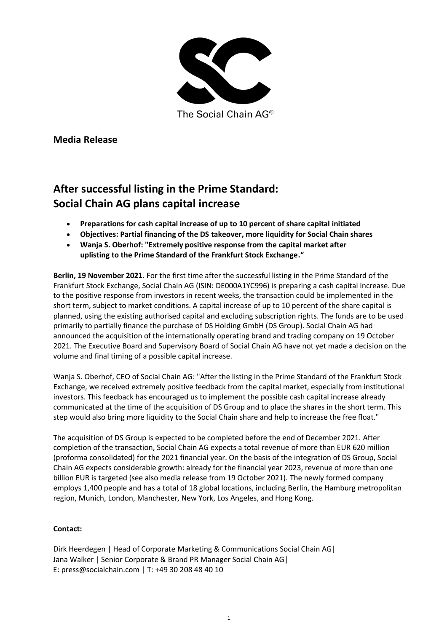

The Social Chain AG<sup>®</sup>

**Media Release**

## **After successful listing in the Prime Standard: Social Chain AG plans capital increase**

- **Preparations for cash capital increase of up to 10 percent of share capital initiated**
- **Objectives: Partial financing of the DS takeover, more liquidity for Social Chain shares**
- **Wanja S. Oberhof: "Extremely positive response from the capital market after uplisting to the Prime Standard of the Frankfurt Stock Exchange."**

**Berlin, 19 November 2021.** For the first time after the successful listing in the Prime Standard of the Frankfurt Stock Exchange, Social Chain AG (ISIN: DE000A1YC996) is preparing a cash capital increase. Due to the positive response from investors in recent weeks, the transaction could be implemented in the short term, subject to market conditions. A capital increase of up to 10 percent of the share capital is planned, using the existing authorised capital and excluding subscription rights. The funds are to be used primarily to partially finance the purchase of DS Holding GmbH (DS Group). Social Chain AG had announced the acquisition of the internationally operating brand and trading company on 19 October 2021. The Executive Board and Supervisory Board of Social Chain AG have not yet made a decision on the volume and final timing of a possible capital increase.

Wanja S. Oberhof, CEO of Social Chain AG: "After the listing in the Prime Standard of the Frankfurt Stock Exchange, we received extremely positive feedback from the capital market, especially from institutional investors. This feedback has encouraged us to implement the possible cash capital increase already communicated at the time of the acquisition of DS Group and to place the shares in the short term. This step would also bring more liquidity to the Social Chain share and help to increase the free float."

The acquisition of DS Group is expected to be completed before the end of December 2021. After completion of the transaction, Social Chain AG expects a total revenue of more than EUR 620 million (proforma consolidated) for the 2021 financial year. On the basis of the integration of DS Group, Social Chain AG expects considerable growth: already for the financial year 2023, revenue of more than one billion EUR is targeted (see also media release from 19 October 2021). The newly formed company employs 1,400 people and has a total of 18 global locations, including Berlin, the Hamburg metropolitan region, Munich, London, Manchester, New York, Los Angeles, and Hong Kong.

## **Contact:**

Dirk Heerdegen | Head of Corporate Marketing & Communications Social Chain AG| Jana Walker | Senior Corporate & Brand PR Manager Social Chain AG| E: press@socialchain.com | T: +49 30 208 48 40 10